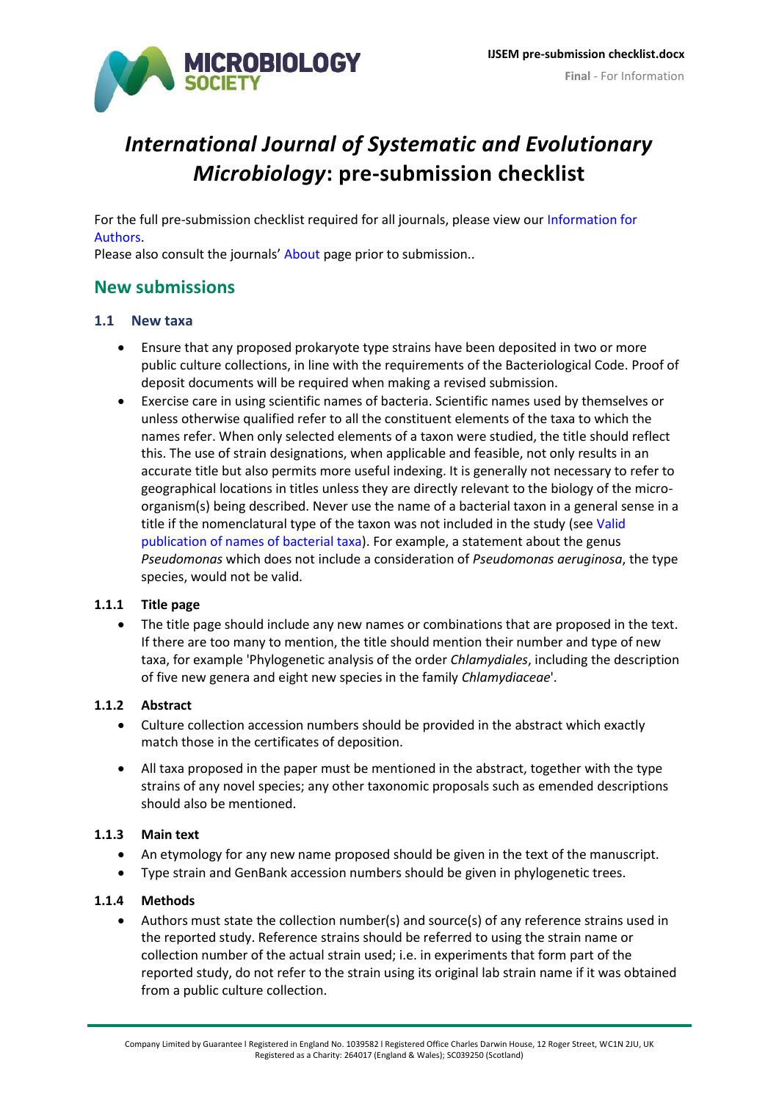

# <span id="page-0-0"></span>*International Journal of Systematic and Evolutionary Microbiology***: pre-submission checklist**

For the full pre-submission checklist required for all journals, please view our [Information for](http://www.microbiologyresearch.org/authors/information-for-authors)  **Authors** 

Please also consult the journals' [About](http://ijs.microbiologyresearch.org/content/journal/ijsem/about) page prior to submission..

# **New submissions**

## **1.1 New taxa**

- Ensure that any proposed prokaryote type strains have been deposited in two or more public culture collections, in line with the requirements of the Bacteriological Code. Proof of deposit documents will be required when making a revised submission.
- Exercise care in using scientific names of bacteria. Scientific names used by themselves or unless otherwise qualified refer to all the constituent elements of the taxa to which the names refer. When only selected elements of a taxon were studied, the title should reflect this. The use of strain designations, when applicable and feasible, not only results in an accurate title but also permits more useful indexing. It is generally not necessary to refer to geographical locations in titles unless they are directly relevant to the biology of the microorganism(s) being described. Never use the name of a bacterial taxon in a general sense in a title if the nomenclatural type of the taxon was not included in the study (see [Valid](http://ijs.microbiologyresearch.org/content/journal/ijsem/about#newtaxa)  [publication of names of bacterial taxa\)](http://ijs.microbiologyresearch.org/content/journal/ijsem/about#newtaxa). For example, a statement about the genus *Pseudomonas* which does not include a consideration of *Pseudomonas aeruginosa*, the type species, would not be valid.

### **1.1.1 Title page**

 The title page should include any new names or combinations that are proposed in the text. If there are too many to mention, the title should mention their number and type of new taxa, for example 'Phylogenetic analysis of the order *Chlamydiales*, including the description of five new genera and eight new species in the family *Chlamydiaceae*'.

### **1.1.2 Abstract**

- Culture collection accession numbers should be provided in the abstract which exactly match those in the certificates of deposition.
- All taxa proposed in the paper must be mentioned in the abstract, together with the type strains of any novel species; any other taxonomic proposals such as emended descriptions should also be mentioned.

### **1.1.3 Main text**

- An etymology for any new name proposed should be given in the text of the manuscript.
- Type strain and GenBank accession numbers should be given in phylogenetic trees.

#### **1.1.4 Methods**

 Authors must state the collection number(s) and source(s) of any reference strains used in the reported study. Reference strains should be referred to using the strain name or collection number of the actual strain used; i.e. in experiments that form part of the reported study, do not refer to the strain using its original lab strain name if it was obtained from a public culture collection.